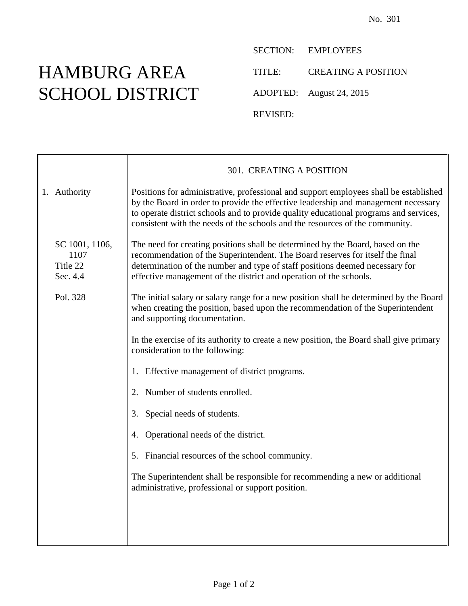## HAMBURG AREA SCHOOL DISTRICT

SECTION: EMPLOYEES TITLE: CREATING A POSITION ADOPTED: August 24, 2015 REVISED:

|                                                | 301. CREATING A POSITION                                                                                                                                                                                                                                                                                                                             |
|------------------------------------------------|------------------------------------------------------------------------------------------------------------------------------------------------------------------------------------------------------------------------------------------------------------------------------------------------------------------------------------------------------|
| 1. Authority                                   | Positions for administrative, professional and support employees shall be established<br>by the Board in order to provide the effective leadership and management necessary<br>to operate district schools and to provide quality educational programs and services,<br>consistent with the needs of the schools and the resources of the community. |
| SC 1001, 1106,<br>1107<br>Title 22<br>Sec. 4.4 | The need for creating positions shall be determined by the Board, based on the<br>recommendation of the Superintendent. The Board reserves for itself the final<br>determination of the number and type of staff positions deemed necessary for<br>effective management of the district and operation of the schools.                                |
| Pol. 328                                       | The initial salary or salary range for a new position shall be determined by the Board<br>when creating the position, based upon the recommendation of the Superintendent<br>and supporting documentation.                                                                                                                                           |
|                                                | In the exercise of its authority to create a new position, the Board shall give primary<br>consideration to the following:                                                                                                                                                                                                                           |
|                                                | 1. Effective management of district programs.                                                                                                                                                                                                                                                                                                        |
|                                                | Number of students enrolled.<br>2.                                                                                                                                                                                                                                                                                                                   |
|                                                | Special needs of students.<br>3.                                                                                                                                                                                                                                                                                                                     |
|                                                | Operational needs of the district.<br>4.                                                                                                                                                                                                                                                                                                             |
|                                                | 5. Financial resources of the school community.                                                                                                                                                                                                                                                                                                      |
|                                                | The Superintendent shall be responsible for recommending a new or additional<br>administrative, professional or support position.                                                                                                                                                                                                                    |
|                                                |                                                                                                                                                                                                                                                                                                                                                      |
|                                                |                                                                                                                                                                                                                                                                                                                                                      |